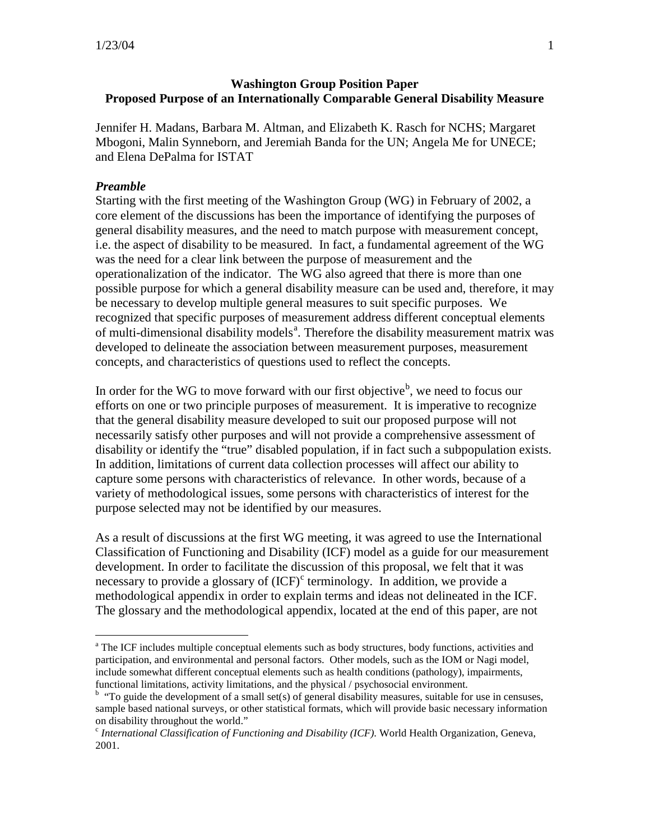### **Washington Group Position Paper Proposed Purpose of an Internationally Comparable General Disability Measure**

Jennifer H. Madans, Barbara M. Altman, and Elizabeth K. Rasch for NCHS; Margaret Mbogoni, Malin Synneborn, and Jeremiah Banda for the UN; Angela Me for UNECE; and Elena DePalma for ISTAT

#### *Preamble*

Starting with the first meeting of the Washington Group (WG) in February of 2002, a core element of the discussions has been the importance of identifying the purposes of general disability measures, and the need to match purpose with measurement concept, i.e. the aspect of disability to be measured. In fact, a fundamental agreement of the WG was the need for a clear link between the purpose of measurement and the operationalization of the indicator. The WG also agreed that there is more than one possible purpose for which a general disability measure can be used and, therefore, it may be necessary to develop multiple general measures to suit specific purposes. We recognized that specific purposes of measurement address different conceptual elements of multi-dimension[a](#page-0-0)l disability models<sup>a</sup>. Therefore the disability measurement matrix was developed to delineate the association between measurement purposes, measurement concepts, and characteristics of questions used to reflect the concepts.

In order for the WG to move forward with our first o[b](#page-0-1)jective<sup>b</sup>, we need to focus our efforts on one or two principle purposes of measurement. It is imperative to recognize that the general disability measure developed to suit our proposed purpose will not necessarily satisfy other purposes and will not provide a comprehensive assessment of disability or identify the "true" disabled population, if in fact such a subpopulation exists. In addition, limitations of current data collection processes will affect our ability to capture some persons with characteristics of relevance. In other words, because of a variety of methodological issues, some persons with characteristics of interest for the purpose selected may not be identified by our measures.

As a result of discussions at the first WG meeting, it was agreed to use the International Classification of Functioning and Disability (ICF) model as a guide for our measurement development. In order to facilitate the discussion of this proposal, we felt that it was ne[c](#page-0-2)essary to provide a glossary of  ${(\text{ICF})}^c$  terminology. In addition, we provide a methodological appendix in order to explain terms and ideas not delineated in the ICF. The glossary and the methodological appendix, located at the end of this paper, are not

<span id="page-0-0"></span><sup>&</sup>lt;sup>a</sup> The ICF includes multiple conceptual elements such as body structures, body functions, activities and participation, and environmental and personal factors. Other models, such as the IOM or Nagi model, include somewhat different conceptual elements such as health conditions (pathology), impairments, functional limitations, activity limitations, and the physical / psychosocial environment.

<span id="page-0-1"></span><sup>&</sup>lt;sup>b</sup> "To guide the development of a small set(s) of general disability measures, suitable for use in censuses, sample based national surveys, or other statistical formats, which will provide basic necessary information on disability throughout the world."

<span id="page-0-2"></span><sup>c</sup> *International Classification of Functioning and Disability (ICF)*. World Health Organization, Geneva, 2001.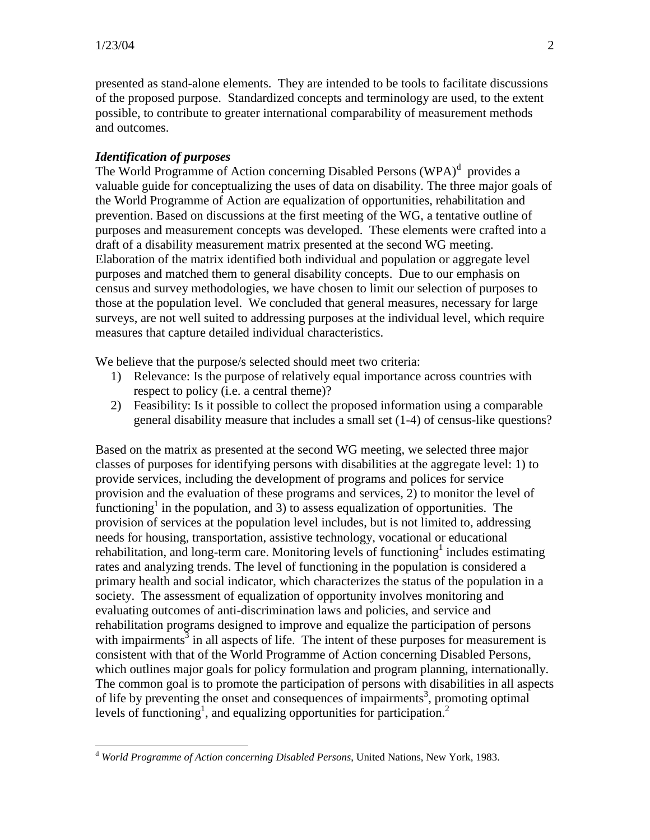presented as stand-alone elements. They are intended to be tools to facilitate discussions of the proposed purpose. Standardized concepts and terminology are used, to the extent possible, to contribute to greater international comparability of measurement methods and outcomes.

## *Identification of purposes*

The Worl[d](#page-1-0) Programme of Action concerning Disabled Persons (WPA)<sup>d</sup> provides a valuable guide for conceptualizing the uses of data on disability. The three major goals of the World Programme of Action are equalization of opportunities, rehabilitation and prevention. Based on discussions at the first meeting of the WG, a tentative outline of purposes and measurement concepts was developed. These elements were crafted into a draft of a disability measurement matrix presented at the second WG meeting. Elaboration of the matrix identified both individual and population or aggregate level purposes and matched them to general disability concepts. Due to our emphasis on census and survey methodologies, we have chosen to limit our selection of purposes to those at the population level. We concluded that general measures, necessary for large surveys, are not well suited to addressing purposes at the individual level, which require measures that capture detailed individual characteristics.

We believe that the purpose/s selected should meet two criteria:

- 1) Relevance: Is the purpose of relatively equal importance across countries with respect to policy (i.e. a central theme)?
- 2) Feasibility: Is it possible to collect the proposed information using a comparable general disability measure that includes a small set (1-4) of census-like questions?

Based on the matrix as presented at the second WG meeting, we selected three major classes of purposes for identifying persons with disabilities at the aggregate level: 1) to provide services, including the development of programs and polices for service provision and the evaluation of these programs and services, 2) to monitor the level of functioning<sup>1</sup> in the population, and 3) to assess equalization of opportunities. The provision of services at the population level includes, but is not limited to, addressing needs for housing, transportation, assistive technology, vocational or educational rehabilitation, and long-term care. Monitoring levels of functioning<sup>1</sup> includes estimating rates and analyzing trends. The level of functioning in the population is considered a primary health and social indicator, which characterizes the status of the population in a society. The assessment of equalization of opportunity involves monitoring and evaluating outcomes of anti-discrimination laws and policies, and service and rehabilitation programs designed to improve and equalize the participation of persons with impairments<sup>3</sup> in all aspects of life. The intent of these purposes for measurement is consistent with that of the World Programme of Action concerning Disabled Persons, which outlines major goals for policy formulation and program planning, internationally. The common goal is to promote the participation of persons with disabilities in all aspects of life by preventing the onset and consequences of impairments<sup>3</sup>, promoting optimal levels of functioning<sup>1</sup>, and equalizing opportunities for participation.<sup>2</sup>

<span id="page-1-0"></span>d *World Programme of Action concerning Disabled Persons*, United Nations, New York, 1983.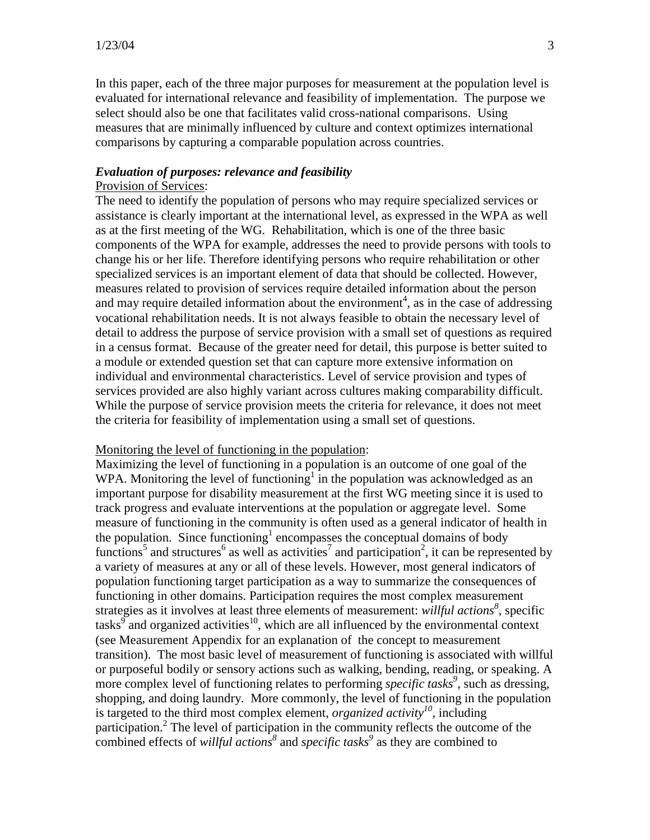In this paper, each of the three major purposes for measurement at the population level is evaluated for international relevance and feasibility of implementation. The purpose we select should also be one that facilitates valid cross-national comparisons. Using measures that are minimally influenced by culture and context optimizes international comparisons by capturing a comparable population across countries.

# *Evaluation of purposes: relevance and feasibility*

### Provision of Services:

The need to identify the population of persons who may require specialized services or assistance is clearly important at the international level, as expressed in the WPA as well as at the first meeting of the WG. Rehabilitation, which is one of the three basic components of the WPA for example, addresses the need to provide persons with tools to change his or her life. Therefore identifying persons who require rehabilitation or other specialized services is an important element of data that should be collected. However, measures related to provision of services require detailed information about the person and may require detailed information about the environment<sup>4</sup>, as in the case of addressing vocational rehabilitation needs. It is not always feasible to obtain the necessary level of detail to address the purpose of service provision with a small set of questions as required in a census format. Because of the greater need for detail, this purpose is better suited to a module or extended question set that can capture more extensive information on individual and environmental characteristics. Level of service provision and types of services provided are also highly variant across cultures making comparability difficult. While the purpose of service provision meets the criteria for relevance, it does not meet the criteria for feasibility of implementation using a small set of questions.

#### Monitoring the level of functioning in the population:

Maximizing the level of functioning in a population is an outcome of one goal of the WPA. Monitoring the level of functioning<sup>1</sup> in the population was acknowledged as an important purpose for disability measurement at the first WG meeting since it is used to track progress and evaluate interventions at the population or aggregate level. Some measure of functioning in the community is often used as a general indicator of health in the population. Since functioning<sup>1</sup> encompasses the conceptual domains of body functions<sup>5</sup> and structures<sup>6</sup> as well as activities<sup>7</sup> and participation<sup>2</sup>, it can be represented by a variety of measures at any or all of these levels. However, most general indicators of population functioning target participation as a way to summarize the consequences of functioning in other domains. Participation requires the most complex measurement strategies as it involves at least three elements of measurement: *willful actions<sup>8</sup>*, specific tasks<sup>9</sup> and organized activities<sup>10</sup>, which are all influenced by the environmental context (see Measurement Appendix for an explanation of the concept to measurement transition). The most basic level of measurement of functioning is associated with willful or purposeful bodily or sensory actions such as walking, bending, reading, or speaking. A more complex level of functioning relates to performing *specific tasks<sup>9</sup>* , such as dressing, shopping, and doing laundry. More commonly, the level of functioning in the population is targeted to the third most complex element, *organized activity*<sup>10</sup>, including participation.<sup>2</sup> The level of participation in the community reflects the outcome of the combined effects of *willful actions<sup>8</sup>* and *specific tasks<sup>9</sup>* as they are combined to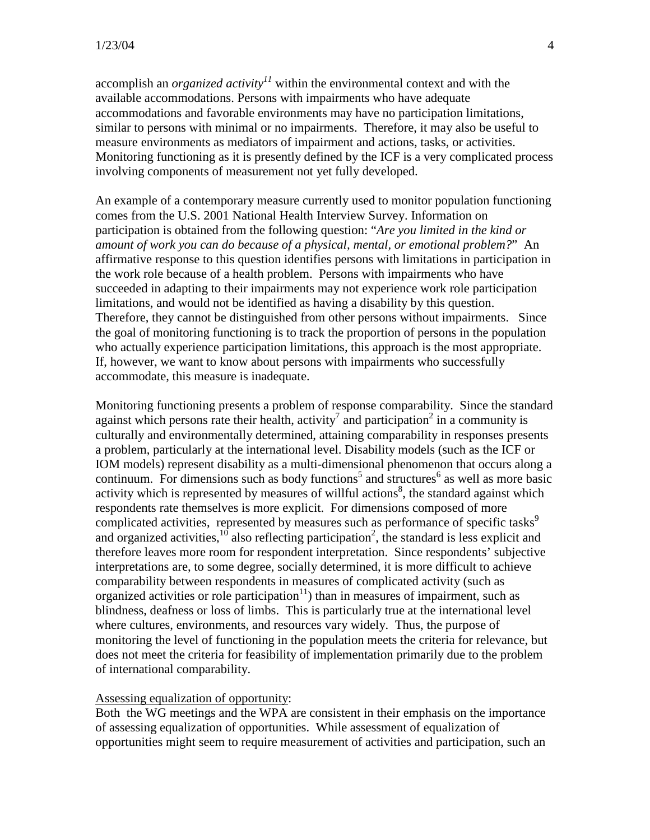accomplish an *organized activity*<sup>11</sup> within the environmental context and with the available accommodations. Persons with impairments who have adequate accommodations and favorable environments may have no participation limitations, similar to persons with minimal or no impairments. Therefore, it may also be useful to measure environments as mediators of impairment and actions, tasks, or activities. Monitoring functioning as it is presently defined by the ICF is a very complicated process involving components of measurement not yet fully developed.

An example of a contemporary measure currently used to monitor population functioning comes from the U.S. 2001 National Health Interview Survey. Information on participation is obtained from the following question: "*Are you limited in the kind or amount of work you can do because of a physical, mental, or emotional problem?*" An affirmative response to this question identifies persons with limitations in participation in the work role because of a health problem. Persons with impairments who have succeeded in adapting to their impairments may not experience work role participation limitations, and would not be identified as having a disability by this question. Therefore, they cannot be distinguished from other persons without impairments. Since the goal of monitoring functioning is to track the proportion of persons in the population who actually experience participation limitations, this approach is the most appropriate. If, however, we want to know about persons with impairments who successfully accommodate, this measure is inadequate.

Monitoring functioning presents a problem of response comparability. Since the standard against which persons rate their health, activity<sup>7</sup> and participation<sup>2</sup> in a community is culturally and environmentally determined, attaining comparability in responses presents a problem, particularly at the international level. Disability models (such as the ICF or IOM models) represent disability as a multi-dimensional phenomenon that occurs along a continuum. For dimensions such as body functions<sup>5</sup> and structures<sup>6</sup> as well as more basic activity which is represented by measures of willful actions<sup>8</sup>, the standard against which respondents rate themselves is more explicit. For dimensions composed of more complicated activities, represented by measures such as performance of specific tasks<sup>9</sup> and organized activities,  $^{10}$  also reflecting participation<sup>2</sup>, the standard is less explicit and therefore leaves more room for respondent interpretation. Since respondents' subjective interpretations are, to some degree, socially determined, it is more difficult to achieve comparability between respondents in measures of complicated activity (such as organized activities or role participation $11$ ) than in measures of impairment, such as blindness, deafness or loss of limbs. This is particularly true at the international level where cultures, environments, and resources vary widely. Thus, the purpose of monitoring the level of functioning in the population meets the criteria for relevance, but does not meet the criteria for feasibility of implementation primarily due to the problem of international comparability.

#### Assessing equalization of opportunity:

Both the WG meetings and the WPA are consistent in their emphasis on the importance of assessing equalization of opportunities. While assessment of equalization of opportunities might seem to require measurement of activities and participation, such an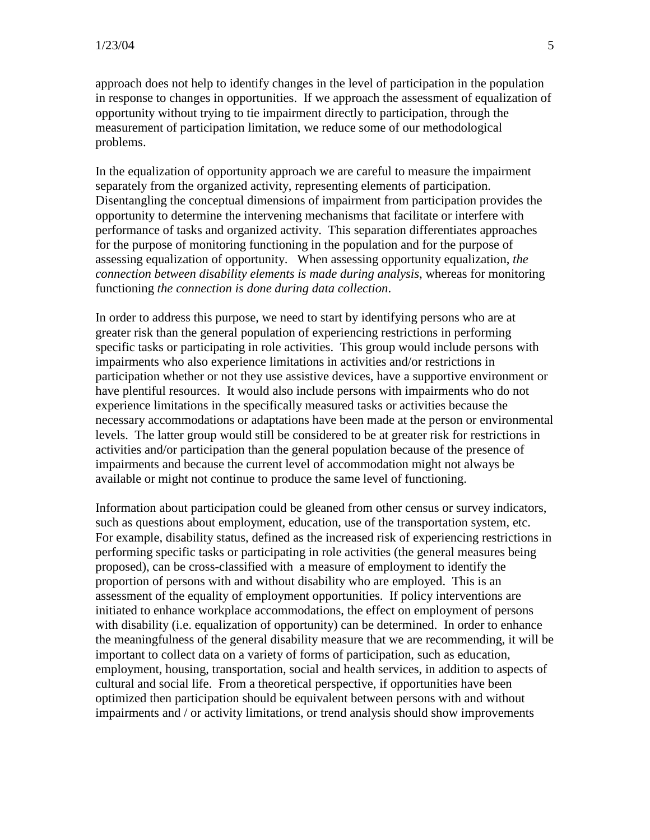approach does not help to identify changes in the level of participation in the population in response to changes in opportunities. If we approach the assessment of equalization of opportunity without trying to tie impairment directly to participation, through the measurement of participation limitation, we reduce some of our methodological problems.

In the equalization of opportunity approach we are careful to measure the impairment separately from the organized activity, representing elements of participation. Disentangling the conceptual dimensions of impairment from participation provides the opportunity to determine the intervening mechanisms that facilitate or interfere with performance of tasks and organized activity. This separation differentiates approaches for the purpose of monitoring functioning in the population and for the purpose of assessing equalization of opportunity. When assessing opportunity equalization, *the connection between disability elements is made during analysis*, whereas for monitoring functioning *the connection is done during data collection*.

In order to address this purpose, we need to start by identifying persons who are at greater risk than the general population of experiencing restrictions in performing specific tasks or participating in role activities. This group would include persons with impairments who also experience limitations in activities and/or restrictions in participation whether or not they use assistive devices, have a supportive environment or have plentiful resources. It would also include persons with impairments who do not experience limitations in the specifically measured tasks or activities because the necessary accommodations or adaptations have been made at the person or environmental levels. The latter group would still be considered to be at greater risk for restrictions in activities and/or participation than the general population because of the presence of impairments and because the current level of accommodation might not always be available or might not continue to produce the same level of functioning.

Information about participation could be gleaned from other census or survey indicators, such as questions about employment, education, use of the transportation system, etc. For example, disability status, defined as the increased risk of experiencing restrictions in performing specific tasks or participating in role activities (the general measures being proposed), can be cross-classified with a measure of employment to identify the proportion of persons with and without disability who are employed. This is an assessment of the equality of employment opportunities. If policy interventions are initiated to enhance workplace accommodations, the effect on employment of persons with disability (i.e. equalization of opportunity) can be determined. In order to enhance the meaningfulness of the general disability measure that we are recommending, it will be important to collect data on a variety of forms of participation, such as education, employment, housing, transportation, social and health services, in addition to aspects of cultural and social life. From a theoretical perspective, if opportunities have been optimized then participation should be equivalent between persons with and without impairments and / or activity limitations, or trend analysis should show improvements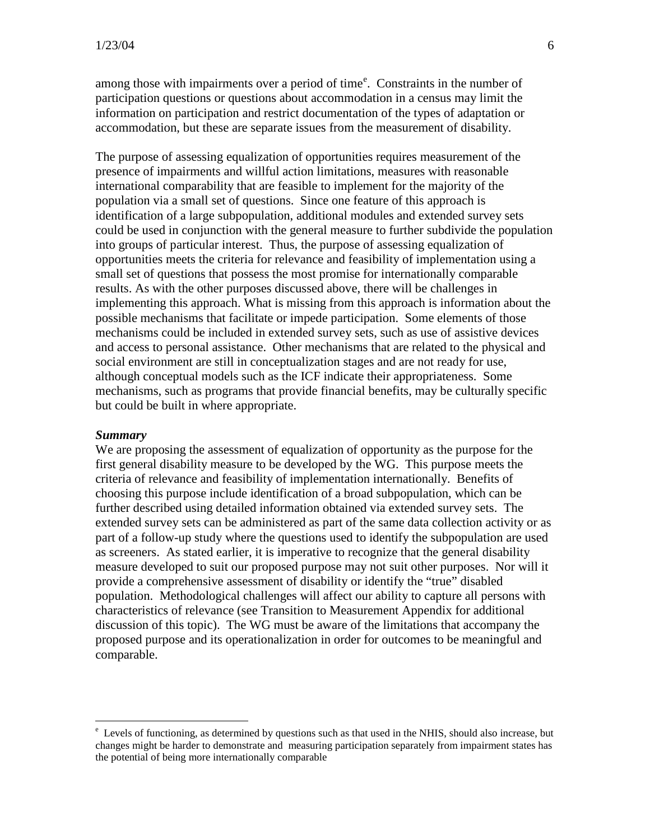among thos[e](#page-5-0) with impairments over a period of time<sup>e</sup>. Constraints in the number of participation questions or questions about accommodation in a census may limit the information on participation and restrict documentation of the types of adaptation or accommodation, but these are separate issues from the measurement of disability.

The purpose of assessing equalization of opportunities requires measurement of the presence of impairments and willful action limitations, measures with reasonable international comparability that are feasible to implement for the majority of the population via a small set of questions. Since one feature of this approach is identification of a large subpopulation, additional modules and extended survey sets could be used in conjunction with the general measure to further subdivide the population into groups of particular interest. Thus, the purpose of assessing equalization of opportunities meets the criteria for relevance and feasibility of implementation using a small set of questions that possess the most promise for internationally comparable results. As with the other purposes discussed above, there will be challenges in implementing this approach. What is missing from this approach is information about the possible mechanisms that facilitate or impede participation. Some elements of those mechanisms could be included in extended survey sets, such as use of assistive devices and access to personal assistance. Other mechanisms that are related to the physical and social environment are still in conceptualization stages and are not ready for use, although conceptual models such as the ICF indicate their appropriateness. Some mechanisms, such as programs that provide financial benefits, may be culturally specific but could be built in where appropriate.

#### *Summary*

We are proposing the assessment of equalization of opportunity as the purpose for the first general disability measure to be developed by the WG. This purpose meets the criteria of relevance and feasibility of implementation internationally. Benefits of choosing this purpose include identification of a broad subpopulation, which can be further described using detailed information obtained via extended survey sets. The extended survey sets can be administered as part of the same data collection activity or as part of a follow-up study where the questions used to identify the subpopulation are used as screeners. As stated earlier, it is imperative to recognize that the general disability measure developed to suit our proposed purpose may not suit other purposes. Nor will it provide a comprehensive assessment of disability or identify the "true" disabled population. Methodological challenges will affect our ability to capture all persons with characteristics of relevance (see Transition to Measurement Appendix for additional discussion of this topic). The WG must be aware of the limitations that accompany the proposed purpose and its operationalization in order for outcomes to be meaningful and comparable.

<span id="page-5-0"></span>e Levels of functioning, as determined by questions such as that used in the NHIS, should also increase, but changes might be harder to demonstrate and measuring participation separately from impairment states has the potential of being more internationally comparable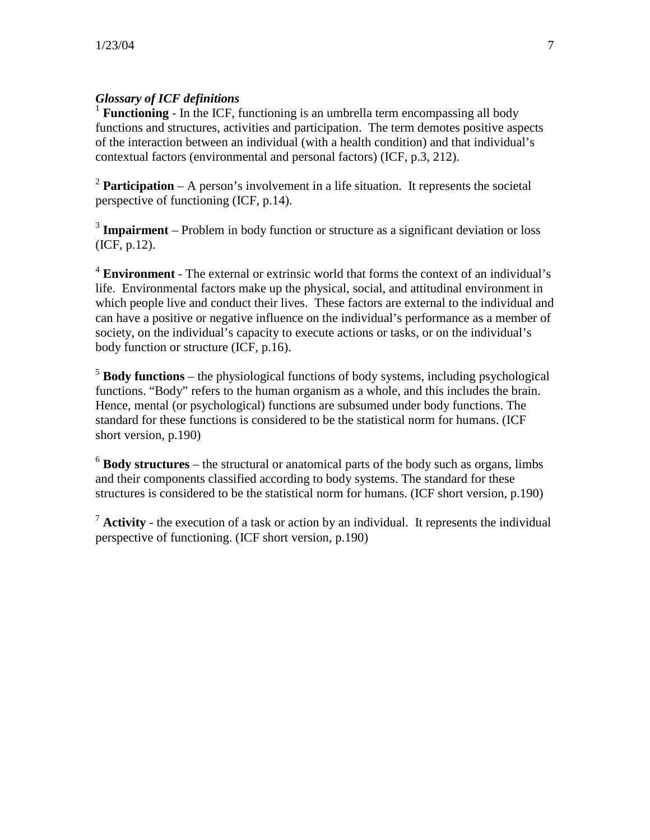# *Glossary of ICF definitions*

<sup>1</sup> **Functioning** - In the ICF, functioning is an umbrella term encompassing all body functions and structures, activities and participation. The term demotes positive aspects of the interaction between an individual (with a health condition) and that individual's contextual factors (environmental and personal factors) (ICF, p.3, 212).

 $2$  **Participation** – A person's involvement in a life situation. It represents the societal perspective of functioning (ICF, p.14).

<sup>3</sup> **Impairment** – Problem in body function or structure as a significant deviation or loss (ICF, p.12).

<sup>4</sup> **Environment** - The external or extrinsic world that forms the context of an individual's life. Environmental factors make up the physical, social, and attitudinal environment in which people live and conduct their lives. These factors are external to the individual and can have a positive or negative influence on the individual's performance as a member of society, on the individual's capacity to execute actions or tasks, or on the individual's body function or structure (ICF, p.16).

<sup>5</sup> **Body functions** – the physiological functions of body systems, including psychological functions. "Body" refers to the human organism as a whole, and this includes the brain. Hence, mental (or psychological) functions are subsumed under body functions. The standard for these functions is considered to be the statistical norm for humans. (ICF short version, p.190)

<sup>6</sup> **Body structures** – the structural or anatomical parts of the body such as organs, limbs and their components classified according to body systems. The standard for these structures is considered to be the statistical norm for humans. (ICF short version, p.190)

<sup>7</sup> **Activity** - the execution of a task or action by an individual. It represents the individual perspective of functioning. (ICF short version, p.190)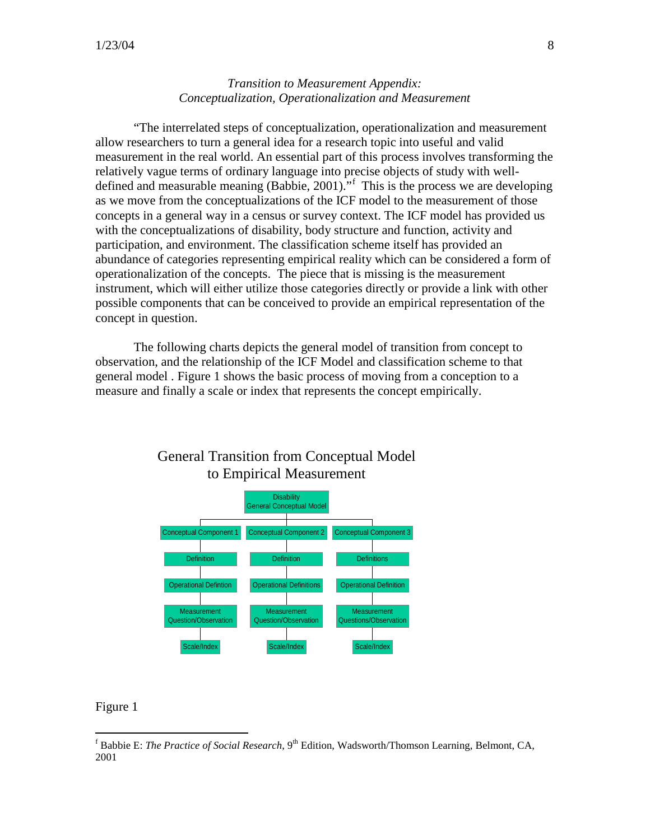## *Transition to Measurement Appendix: Conceptualization, Operationalization and Measurement*

"The interrelated steps of conceptualization, operationalization and measurement allow researchers to turn a general idea for a research topic into useful and valid measurement in the real world. An essential part of this process involves transforming the relatively vague terms of ordinary language into precise objects of study with welldefined and measurable meaning (Babbie, 2001)."[f](#page-7-0) This is the process we are developing as we move from the conceptualizations of the ICF model to the measurement of those concepts in a general way in a census or survey context. The ICF model has provided us with the conceptualizations of disability, body structure and function, activity and participation, and environment. The classification scheme itself has provided an abundance of categories representing empirical reality which can be considered a form of operationalization of the concepts. The piece that is missing is the measurement instrument, which will either utilize those categories directly or provide a link with other possible components that can be conceived to provide an empirical representation of the concept in question.

The following charts depicts the general model of transition from concept to observation, and the relationship of the ICF Model and classification scheme to that general model . Figure 1 shows the basic process of moving from a conception to a measure and finally a scale or index that represents the concept empirically.



# General Transition from Conceptual Model to Empirical Measurement

#### Figure 1

<span id="page-7-0"></span><sup>&</sup>lt;sup>f</sup> Babbie E: *The Practice of Social Research*, 9<sup>th</sup> Edition, Wadsworth/Thomson Learning, Belmont, CA, 2001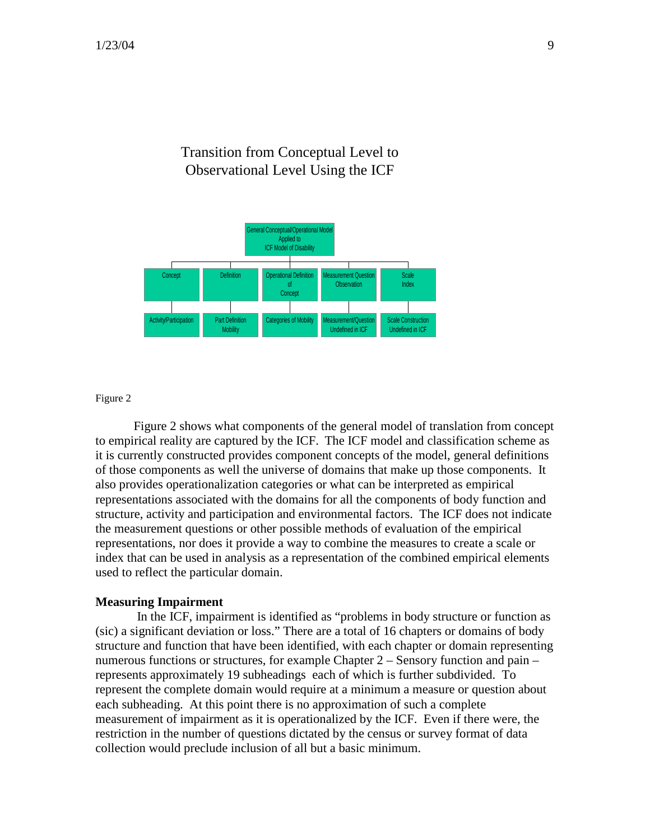# Transition from Conceptual Level to Observational Level Using the ICF



Figure 2

Figure 2 shows what components of the general model of translation from concept to empirical reality are captured by the ICF. The ICF model and classification scheme as it is currently constructed provides component concepts of the model, general definitions of those components as well the universe of domains that make up those components. It also provides operationalization categories or what can be interpreted as empirical representations associated with the domains for all the components of body function and structure, activity and participation and environmental factors. The ICF does not indicate the measurement questions or other possible methods of evaluation of the empirical representations, nor does it provide a way to combine the measures to create a scale or index that can be used in analysis as a representation of the combined empirical elements used to reflect the particular domain.

#### **Measuring Impairment**

In the ICF, impairment is identified as "problems in body structure or function as (sic) a significant deviation or loss." There are a total of 16 chapters or domains of body structure and function that have been identified, with each chapter or domain representing numerous functions or structures, for example Chapter 2 – Sensory function and pain – represents approximately 19 subheadings each of which is further subdivided. To represent the complete domain would require at a minimum a measure or question about each subheading. At this point there is no approximation of such a complete measurement of impairment as it is operationalized by the ICF. Even if there were, the restriction in the number of questions dictated by the census or survey format of data collection would preclude inclusion of all but a basic minimum.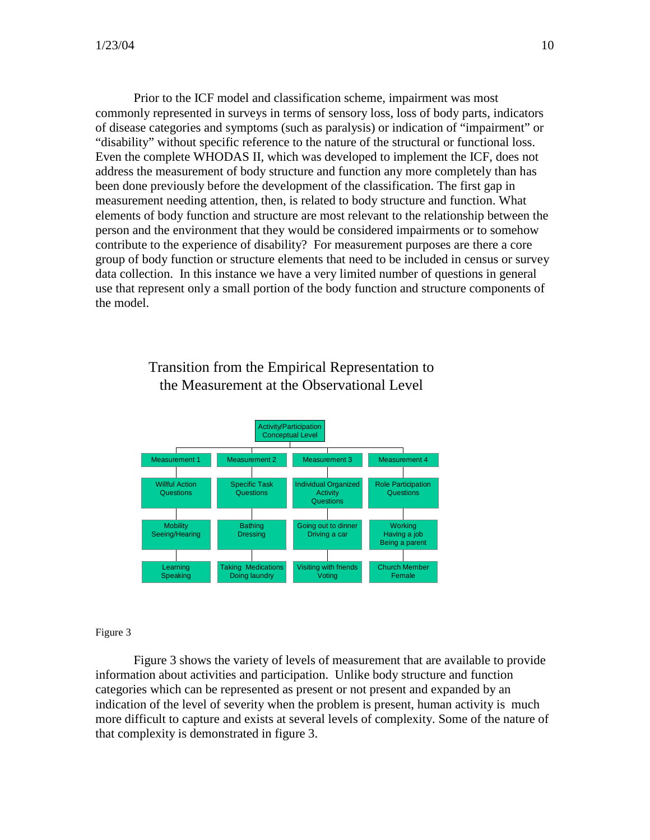Prior to the ICF model and classification scheme, impairment was most commonly represented in surveys in terms of sensory loss, loss of body parts, indicators of disease categories and symptoms (such as paralysis) or indication of "impairment" or "disability" without specific reference to the nature of the structural or functional loss. Even the complete WHODAS II, which was developed to implement the ICF, does not address the measurement of body structure and function any more completely than has been done previously before the development of the classification. The first gap in measurement needing attention, then, is related to body structure and function. What elements of body function and structure are most relevant to the relationship between the person and the environment that they would be considered impairments or to somehow contribute to the experience of disability? For measurement purposes are there a core group of body function or structure elements that need to be included in census or survey data collection. In this instance we have a very limited number of questions in general use that represent only a small portion of the body function and structure components of the model.

> Transition from the Empirical Representation to the Measurement at the Observational Level



#### Figure 3

Figure 3 shows the variety of levels of measurement that are available to provide information about activities and participation. Unlike body structure and function categories which can be represented as present or not present and expanded by an indication of the level of severity when the problem is present, human activity is much more difficult to capture and exists at several levels of complexity. Some of the nature of that complexity is demonstrated in figure 3.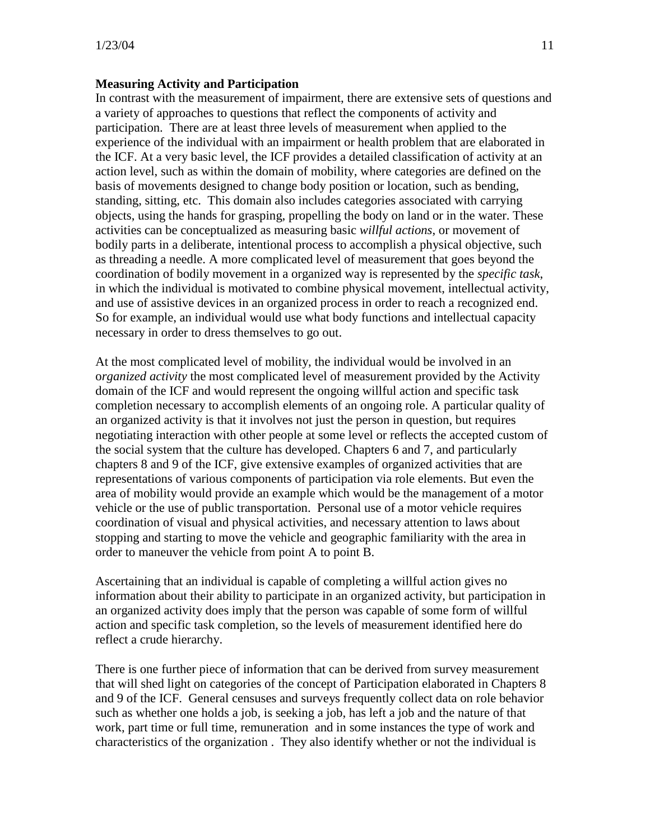### **Measuring Activity and Participation**

In contrast with the measurement of impairment, there are extensive sets of questions and a variety of approaches to questions that reflect the components of activity and participation. There are at least three levels of measurement when applied to the experience of the individual with an impairment or health problem that are elaborated in the ICF. At a very basic level, the ICF provides a detailed classification of activity at an action level, such as within the domain of mobility, where categories are defined on the basis of movements designed to change body position or location, such as bending, standing, sitting, etc. This domain also includes categories associated with carrying objects, using the hands for grasping, propelling the body on land or in the water. These activities can be conceptualized as measuring basic *willful actions*, or movement of bodily parts in a deliberate, intentional process to accomplish a physical objective, such as threading a needle. A more complicated level of measurement that goes beyond the coordination of bodily movement in a organized way is represented by the *specific task*, in which the individual is motivated to combine physical movement, intellectual activity, and use of assistive devices in an organized process in order to reach a recognized end. So for example, an individual would use what body functions and intellectual capacity necessary in order to dress themselves to go out.

At the most complicated level of mobility, the individual would be involved in an o*rganized activity* the most complicated level of measurement provided by the Activity domain of the ICF and would represent the ongoing willful action and specific task completion necessary to accomplish elements of an ongoing role. A particular quality of an organized activity is that it involves not just the person in question, but requires negotiating interaction with other people at some level or reflects the accepted custom of the social system that the culture has developed. Chapters 6 and 7, and particularly chapters 8 and 9 of the ICF, give extensive examples of organized activities that are representations of various components of participation via role elements. But even the area of mobility would provide an example which would be the management of a motor vehicle or the use of public transportation. Personal use of a motor vehicle requires coordination of visual and physical activities, and necessary attention to laws about stopping and starting to move the vehicle and geographic familiarity with the area in order to maneuver the vehicle from point A to point B.

Ascertaining that an individual is capable of completing a willful action gives no information about their ability to participate in an organized activity, but participation in an organized activity does imply that the person was capable of some form of willful action and specific task completion, so the levels of measurement identified here do reflect a crude hierarchy.

There is one further piece of information that can be derived from survey measurement that will shed light on categories of the concept of Participation elaborated in Chapters 8 and 9 of the ICF. General censuses and surveys frequently collect data on role behavior such as whether one holds a job, is seeking a job, has left a job and the nature of that work, part time or full time, remuneration and in some instances the type of work and characteristics of the organization . They also identify whether or not the individual is